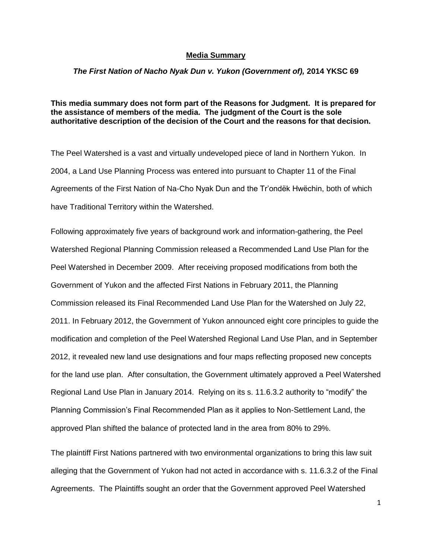## **Media Summary**

## *The First Nation of Nacho Nyak Dun v. Yukon (Government of),* **2014 YKSC 69**

**This media summary does not form part of the Reasons for Judgment. It is prepared for the assistance of members of the media. The judgment of the Court is the sole authoritative description of the decision of the Court and the reasons for that decision.**

The Peel Watershed is a vast and virtually undeveloped piece of land in Northern Yukon. In 2004, a Land Use Planning Process was entered into pursuant to Chapter 11 of the Final Agreements of the First Nation of Na-Cho Nyak Dun and the Tr'ondëk Hwëchin, both of which have Traditional Territory within the Watershed.

Following approximately five years of background work and information-gathering, the Peel Watershed Regional Planning Commission released a Recommended Land Use Plan for the Peel Watershed in December 2009. After receiving proposed modifications from both the Government of Yukon and the affected First Nations in February 2011, the Planning Commission released its Final Recommended Land Use Plan for the Watershed on July 22, 2011. In February 2012, the Government of Yukon announced eight core principles to guide the modification and completion of the Peel Watershed Regional Land Use Plan, and in September 2012, it revealed new land use designations and four maps reflecting proposed new concepts for the land use plan. After consultation, the Government ultimately approved a Peel Watershed Regional Land Use Plan in January 2014. Relying on its s. 11.6.3.2 authority to "modify" the Planning Commission's Final Recommended Plan as it applies to Non-Settlement Land, the approved Plan shifted the balance of protected land in the area from 80% to 29%.

The plaintiff First Nations partnered with two environmental organizations to bring this law suit alleging that the Government of Yukon had not acted in accordance with s. 11.6.3.2 of the Final Agreements. The Plaintiffs sought an order that the Government approved Peel Watershed

1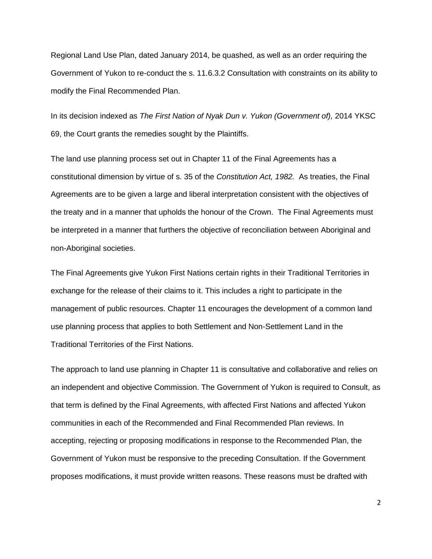Regional Land Use Plan, dated January 2014, be quashed, as well as an order requiring the Government of Yukon to re-conduct the s. 11.6.3.2 Consultation with constraints on its ability to modify the Final Recommended Plan.

In its decision indexed as *The First Nation of Nyak Dun v. Yukon (Government of),* 2014 YKSC 69, the Court grants the remedies sought by the Plaintiffs.

The land use planning process set out in Chapter 11 of the Final Agreements has a constitutional dimension by virtue of s. 35 of the *Constitution Act, 1982.* As treaties, the Final Agreements are to be given a large and liberal interpretation consistent with the objectives of the treaty and in a manner that upholds the honour of the Crown. The Final Agreements must be interpreted in a manner that furthers the objective of reconciliation between Aboriginal and non-Aboriginal societies.

The Final Agreements give Yukon First Nations certain rights in their Traditional Territories in exchange for the release of their claims to it. This includes a right to participate in the management of public resources. Chapter 11 encourages the development of a common land use planning process that applies to both Settlement and Non-Settlement Land in the Traditional Territories of the First Nations.

The approach to land use planning in Chapter 11 is consultative and collaborative and relies on an independent and objective Commission. The Government of Yukon is required to Consult, as that term is defined by the Final Agreements, with affected First Nations and affected Yukon communities in each of the Recommended and Final Recommended Plan reviews. In accepting, rejecting or proposing modifications in response to the Recommended Plan, the Government of Yukon must be responsive to the preceding Consultation. If the Government proposes modifications, it must provide written reasons. These reasons must be drafted with

2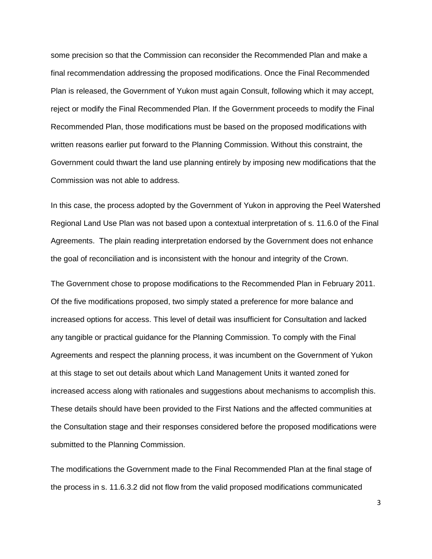some precision so that the Commission can reconsider the Recommended Plan and make a final recommendation addressing the proposed modifications. Once the Final Recommended Plan is released, the Government of Yukon must again Consult, following which it may accept, reject or modify the Final Recommended Plan. If the Government proceeds to modify the Final Recommended Plan, those modifications must be based on the proposed modifications with written reasons earlier put forward to the Planning Commission. Without this constraint, the Government could thwart the land use planning entirely by imposing new modifications that the Commission was not able to address.

In this case, the process adopted by the Government of Yukon in approving the Peel Watershed Regional Land Use Plan was not based upon a contextual interpretation of s. 11.6.0 of the Final Agreements. The plain reading interpretation endorsed by the Government does not enhance the goal of reconciliation and is inconsistent with the honour and integrity of the Crown.

The Government chose to propose modifications to the Recommended Plan in February 2011. Of the five modifications proposed, two simply stated a preference for more balance and increased options for access. This level of detail was insufficient for Consultation and lacked any tangible or practical guidance for the Planning Commission. To comply with the Final Agreements and respect the planning process, it was incumbent on the Government of Yukon at this stage to set out details about which Land Management Units it wanted zoned for increased access along with rationales and suggestions about mechanisms to accomplish this. These details should have been provided to the First Nations and the affected communities at the Consultation stage and their responses considered before the proposed modifications were submitted to the Planning Commission.

The modifications the Government made to the Final Recommended Plan at the final stage of the process in s. 11.6.3.2 did not flow from the valid proposed modifications communicated

3